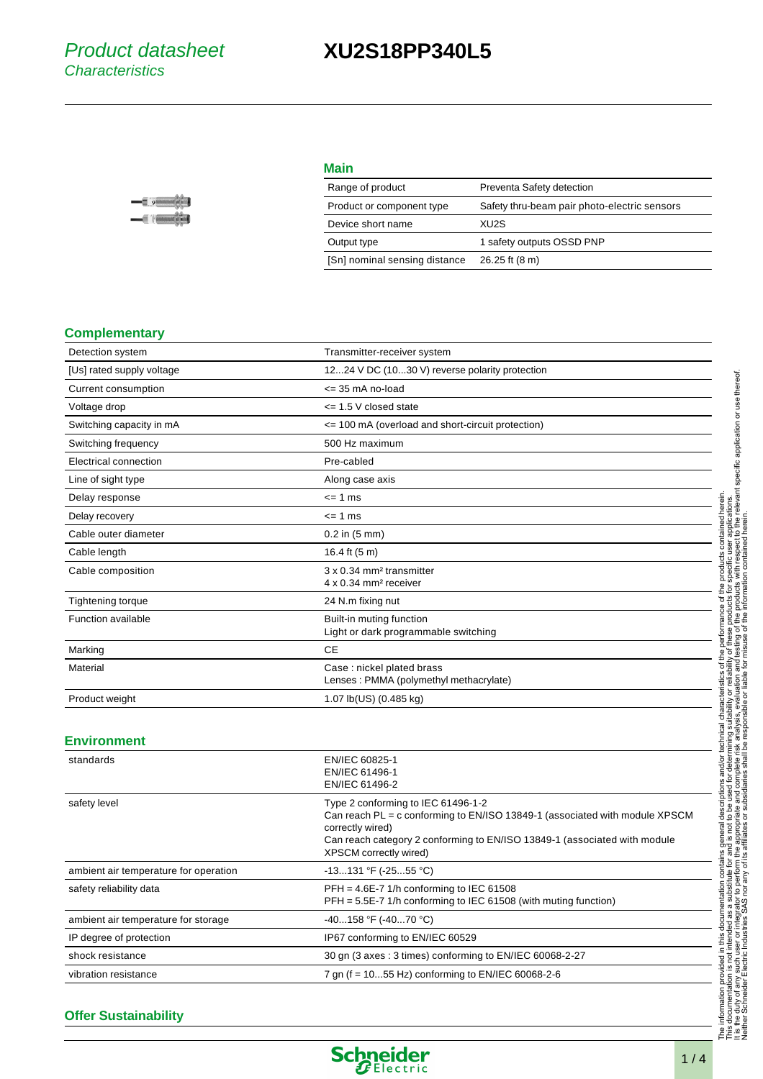## **XU2S18PP340L5**

| <b>Main</b>                   |                                              |
|-------------------------------|----------------------------------------------|
| Range of product              | Preventa Safety detection                    |
| Product or component type     | Safety thru-beam pair photo-electric sensors |
| Device short name             | XU2S                                         |
| Output type                   | 1 safety outputs OSSD PNP                    |
| [Sn] nominal sensing distance | 26.25 ft (8 m)                               |

### **Complementary**

| Detection system          | Transmitter-receiver system                                               |
|---------------------------|---------------------------------------------------------------------------|
| [Us] rated supply voltage | 1224 V DC (1030 V) reverse polarity protection                            |
| Current consumption       | $\leq$ 35 mA no-load                                                      |
| Voltage drop              | $\le$ 1.5 V closed state                                                  |
| Switching capacity in mA  | <= 100 mA (overload and short-circuit protection)                         |
| Switching frequency       | 500 Hz maximum                                                            |
| Electrical connection     | Pre-cabled                                                                |
| Line of sight type        | Along case axis                                                           |
| Delay response            | $= 1$ ms                                                                  |
| Delay recovery            | $\leq$ 1 ms                                                               |
| Cable outer diameter      | $0.2$ in $(5 \text{ mm})$                                                 |
| Cable length              | 16.4 ft (5 m)                                                             |
| Cable composition         | 3 x 0.34 mm <sup>2</sup> transmitter<br>4 x 0.34 mm <sup>2</sup> receiver |
| Tightening torque         | 24 N.m fixing nut                                                         |
| <b>Function available</b> | Built-in muting function<br>Light or dark programmable switching          |
| Marking                   | <b>CE</b>                                                                 |
| Material                  | Case: nickel plated brass<br>Lenses: PMMA (polymethyl methacrylate)       |
| Product weight            | 1.07 lb(US) (0.485 kg)                                                    |

### **Environment**

| standards                             | EN/IEC 60825-1<br>EN/IEC 61496-1<br>EN/IEC 61496-2                                                                                                                                                                                           |
|---------------------------------------|----------------------------------------------------------------------------------------------------------------------------------------------------------------------------------------------------------------------------------------------|
| safety level                          | Type 2 conforming to IEC 61496-1-2<br>Can reach PL = c conforming to EN/ISO 13849-1 (associated with module XPSCM<br>correctly wired)<br>Can reach category 2 conforming to EN/ISO 13849-1 (associated with module<br>XPSCM correctly wired) |
| ambient air temperature for operation | $-13131$ °F ( $-2555$ °C)                                                                                                                                                                                                                    |
| safety reliability data               | $PFH = 4.6E-7$ 1/h conforming to IEC 61508<br>$PFH = 5.5E-7$ 1/h conforming to IEC 61508 (with muting function)                                                                                                                              |
| ambient air temperature for storage   | $-40158$ °F (-4070 °C)                                                                                                                                                                                                                       |
| IP degree of protection               | IP67 conforming to EN/IEC 60529                                                                                                                                                                                                              |
| shock resistance                      | 30 gn (3 axes : 3 times) conforming to EN/IEC 60068-2-27                                                                                                                                                                                     |
| vibration resistance                  | 7 gn ( $f = 1055$ Hz) conforming to EN/IEC 60068-2-6                                                                                                                                                                                         |

### **Offer Sustainability**



Neither Schneider Electric Industries SAS nor any of its affiliates or subsidiaries shall be responsible or liable for misuse of the information contained herein.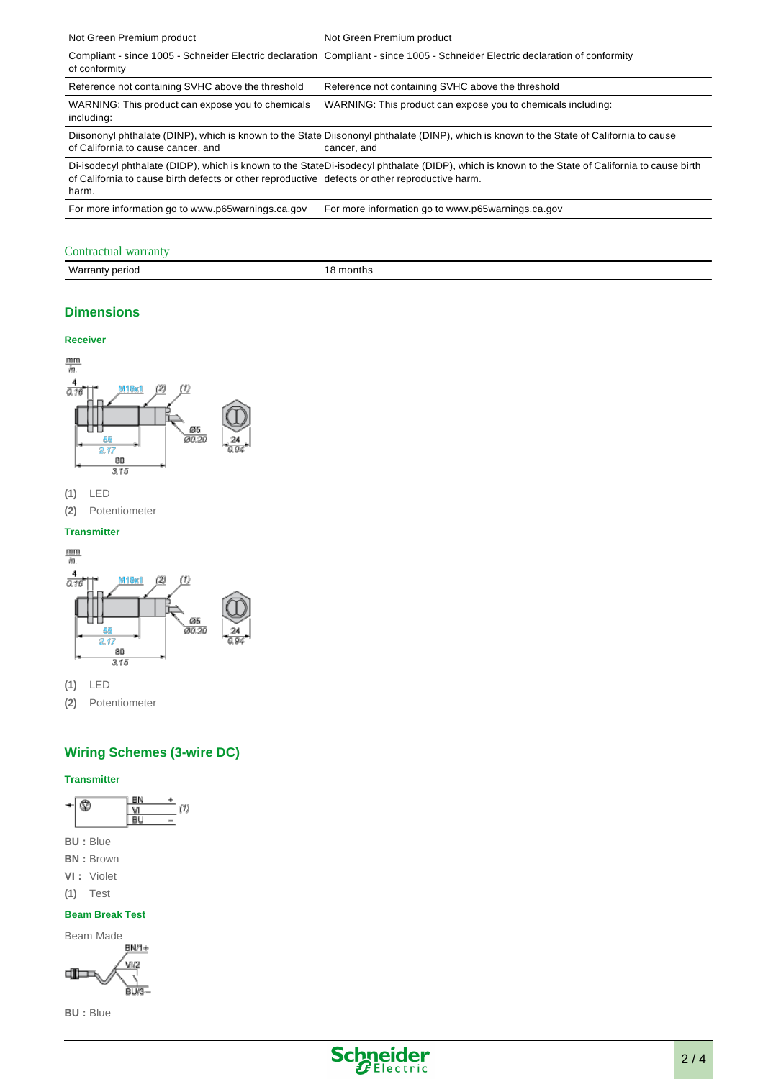| Not Green Premium product                                                                               | Not Green Premium product                                                                                                                               |
|---------------------------------------------------------------------------------------------------------|---------------------------------------------------------------------------------------------------------------------------------------------------------|
| of conformity                                                                                           | Compliant - since 1005 - Schneider Electric declaration Compliant - since 1005 - Schneider Electric declaration of conformity                           |
| Reference not containing SVHC above the threshold                                                       | Reference not containing SVHC above the threshold                                                                                                       |
| WARNING: This product can expose you to chemicals<br>including:                                         | WARNING: This product can expose you to chemicals including:                                                                                            |
| of California to cause cancer, and                                                                      | Diisononyl phthalate (DINP), which is known to the State Diisononyl phthalate (DINP), which is known to the State of California to cause<br>cancer, and |
| of California to cause birth defects or other reproductive defects or other reproductive harm.<br>harm. | Di-isodecyl phthalate (DIDP), which is known to the StateDi-isodecyl phthalate (DIDP), which is known to the State of California to cause birth         |
| For more information go to www.p65warnings.ca.gov                                                       | For more information go to www.p65warnings.ca.gov                                                                                                       |

### Contractual warranty

| Wa.<br>nontns<br>perioc<br>aн<br>. |  |
|------------------------------------|--|

### **Dimensions**

### **Receiver**







**(2)** Potentiometer

### **Transmitter**



**(1)** LED

**(2)** Potentiometer

### **Wiring Schemes (3-wire DC)**

### **Transmitter**



- **BU :** Blue
- **BN :** Brown
- **VI :** Violet
- **(1)** Test

### **Beam Break Test**



**BU :** Blue

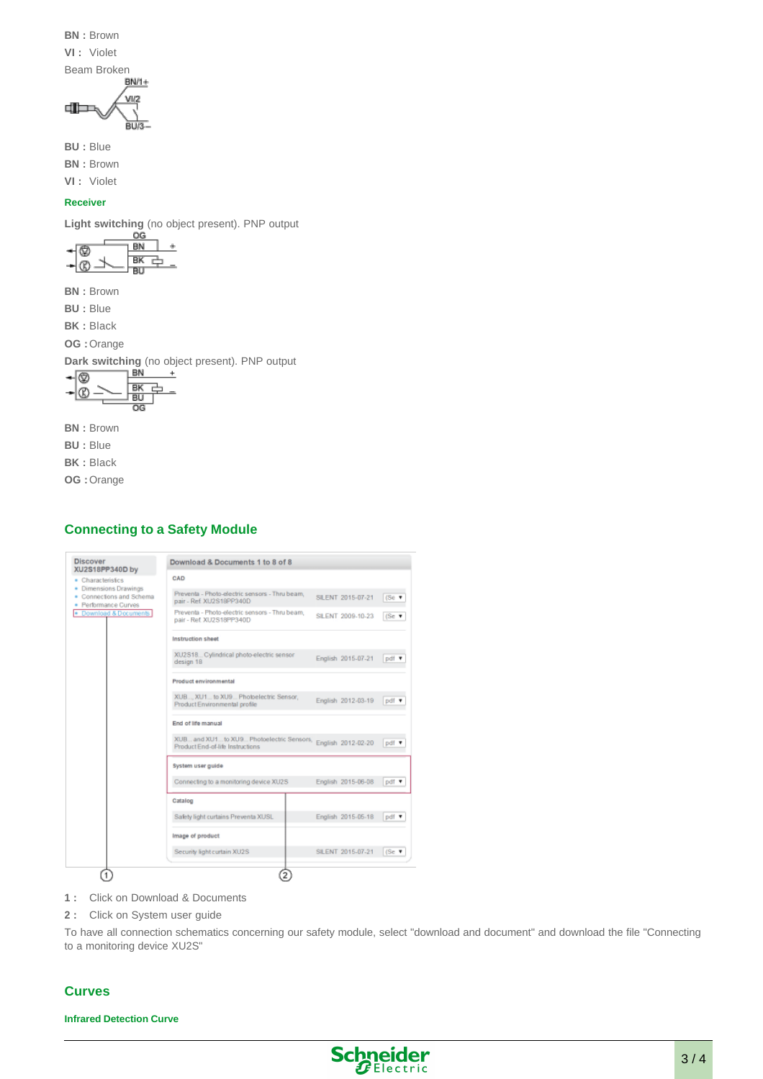**BN :** Brown

**VI :** Violet

Beam Broken

$$
\frac{\sqrt{1/2}}{\sqrt{1/2}}
$$

**BU :** Blue

**BN :** Brown

**VI :** Violet

### **Receiver**

**Light switching** (no object present). PNP output

**BN :** Brown

**BU :** Blue

**BK :** Black

**OG :** Orange

**Dark switching** (no object present). PNP output



**BN :** Brown

**BU :** Blue

**BK :** Black

**OG :** Orange

### **Connecting to a Safety Module**

| <b>Discover</b><br>XU2S18PP340D by                                                | Download & Documents 1 to 8 of 8                                                                 |                    |                  |
|-----------------------------------------------------------------------------------|--------------------------------------------------------------------------------------------------|--------------------|------------------|
| • Characteristics                                                                 | CAD                                                                                              |                    |                  |
| <b>Dimensions Drawings</b><br>٠<br>Connections and Schema<br>· Performance Curves | Preventa - Photo-electric sensors - Thru beam,<br>pair - Ref. XU2S18PP340D                       | SILENT 2015-07-21  | (Se              |
| Download & Documents                                                              | Preventa - Photo-electric sensors - Thru beam.<br>pair - Ref. XU2S18PP340D                       | SILENT 2009-10-23  | (Se <sub>1</sub> |
|                                                                                   | Instruction sheet                                                                                |                    |                  |
|                                                                                   | XU2S18 Cylindrical photo-electric sensor<br>design 18                                            | English 2015-07-21 | pdf              |
|                                                                                   | Product environmental                                                                            |                    |                  |
|                                                                                   | XUB, XU1 to XU9 Photoelectric Sensor,<br>Product Environmental profile                           | English 2012-03-19 | pdf v            |
|                                                                                   | End of life manual                                                                               |                    |                  |
|                                                                                   | XUB and XU1 to XU9 Photoelectric Sensors, English 2012-02-20<br>Product End-of-life Instructions |                    | pdf v            |
|                                                                                   | System user guide                                                                                |                    |                  |
|                                                                                   | Connecting to a monitoring device XU2S                                                           | English 2015-06-08 | pdf v            |
|                                                                                   | Catalog                                                                                          |                    |                  |
|                                                                                   | Safety light curtains Preventa XUSL                                                              | English 2015-05-18 | pdf v            |
|                                                                                   | Image of product                                                                                 |                    |                  |
|                                                                                   | Security light curtain XU2S                                                                      | SILENT 2015-07-21  | (Se.             |

**1 :** Click on Download & Documents

**2 :** Click on System user guide

To have all connection schematics concerning our safety module, select "download and document" and download the file "Connecting to a monitoring device XU2S"

### **Curves**

**Infrared Detection Curve**

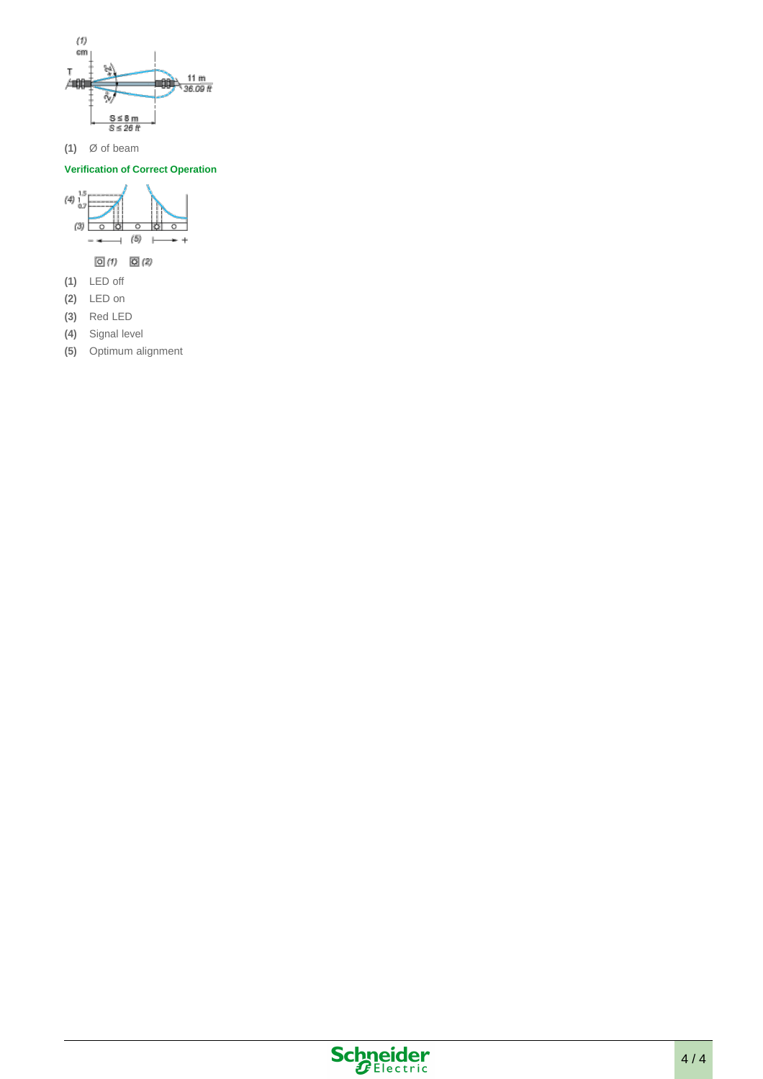

**(1)** Ø of beam

### **Verification of Correct Operation**



- 
- **(2)** LED on
- **(3)** Red LED **(4)** Signal level
- 
- **(5)** Optimum alignment